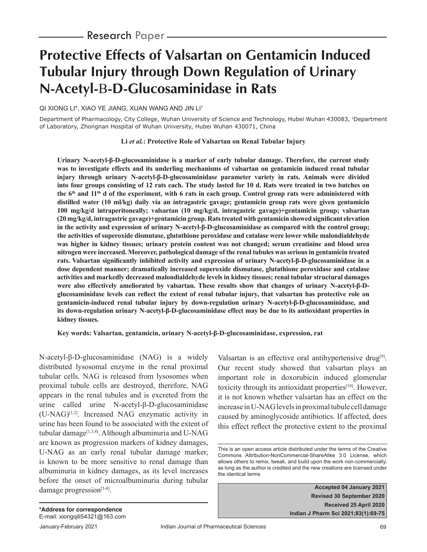# **Protective Effects of Valsartan on Gentamicin Induced Tubular Injury through Down Regulation of Urinary N-Acetyl--D-Glucosaminidase in Rats**

QI XIONG LI\*, XIAO YE JIANG, XUAN WANG AND JIN LI1

Department of Pharmacology, City College, Wuhan University of Science and Technology, Hubei Wuhan 430083, <sup>1</sup>Department of Laboratory, Zhongnan Hospital of Wuhan University, Hubei Wuhan 430071, China

#### **Li** *et al.***: Protective Role of Valsartan on Renal Tubular Injury**

**Urinary N-acetyl-β-D-glucosaminidase is a marker of early tubular damage. Therefore, the current study was to investigate effects and its underling mechanisms of valsartan on gentamicin induced renal tubular injury through urinary N-acetyl-β-D-glucosaminidase parameter variety in rats. Animals were divided into four groups consisting of 12 rats each. The study lasted for 10 d. Rats were treated in two batches on the 6th and 11th d of the experiment, with 6 rats in each group. Control group rats were administered with distilled water (10 ml/kg) daily via an intragastric gavage; gentamicin group rats were given gentamicin 100 mg/kg/d intraperitoneally; valsartan (10 mg/kg/d, intragastric gavage)+gentamicin group; valsartan**  (20 mg/kg/d, intragastric gavage)+gentamicin group. Rats treated with gentamicin showed significant elevation **in the activity and expression of urinary N-acetyl-β-D-glucosaminidase as compared with the control group; the activities of superoxide dismutase, glutathione peroxidase and catalase were lower while malondialdehyde was higher in kidney tissues; urinary protein content was not changed; serum creatinine and blood urea nitrogen were increased. Moreover, pathological damage of the renal tubules was serious in gentamicin treated rats. Valsartan significantly inhibited activity and expression of urinary N-acetyl-β-D-glucosaminidase in a dose dependent manner; dramatically increased superoxide dismutase, glutathione peroxidase and catalase activities and markedly decreased malondialdehyde levels in kidney tissues; renal tubular structural damages were also effectively ameliorated by valsartan. These results show that changes of urinary N-acetyl-β-D**glucosaminidase levels can reflect the extent of renal tubular injury, that valsartan has protective role on **gentamicin-induced renal tubular injury by down-regulation urinary N-acetyl-β-D-glucosaminidase, and its down-regulation urinary N-acetyl-β-D-glucosaminidase effect may be due to its antioxidant properties in kidney tissues.**

**Key words: Valsartan, gentamicin, urinary N-acetyl-β-D-glucosaminidase, expression, rat**

N-acetyl-β-D-glucosaminidase (NAG) is a widely distributed lysosomal enzyme in the renal proximal tubular cells. NAG is released from lysosomes when proximal tubule cells are destroyed, therefore, NAG appears in the renal tubules and is excreted from the urine called urine N-acetyl-β-D-glucosaminidase  $(U-NAG)^{[1,2]}$ . Increased NAG enzymatic activity in urine has been found to be associated with the extent of tubular damage<sup>[1,3,4]</sup>. Although albuminuria and U-NAG are known as progression markers of kidney damages, U-NAG as an early renal tubular damage marker, is known to be more sensitive to renal damage than albuminuria in kidney damages, as its level increases before the onset of microalbuminuria during tubular damage progression<sup>[5-8]</sup>.

Valsartan is an effective oral antihypertensive drug<sup>[9]</sup>. Our recent study showed that valsartan plays an important role in doxorubicin induced glomerular toxicity through its antioxidant properties<sup>[10]</sup>. However, it is not known whether valsartan has an effect on the increase in U-NAG levels in proximal tubule cell damage caused by aminoglycoside antibiotics. If affected, does this effect reflect the protective extent to the proximal

**Accepted 04 January 2021 Revised 30 September 2020 Received 25 April 2020 Indian J Pharm Sci 2021;83(1):69-75**

This is an open access article distributed under the terms of the Creative Commons Attribution-NonCommercial-ShareAlike 3.0 License, which allows others to remix, tweak, and build upon the work non-commercially, as long as the author is credited and the new creations are licensed under the identical terms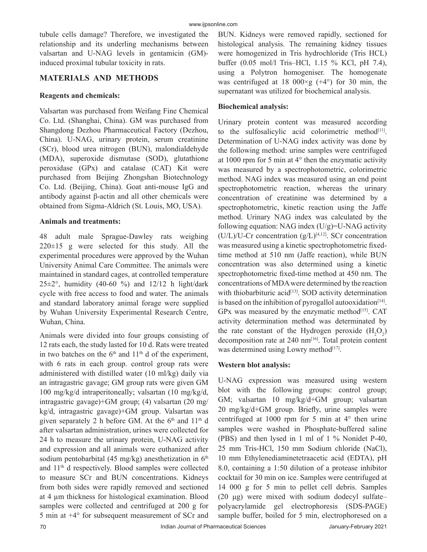tubule cells damage? Therefore, we investigated the relationship and its underling mechanisms between valsartan and U-NAG levels in gentamicin (GM) induced proximal tubular toxicity in rats.

## **MATERIALS AND METHODS**

#### **Reagents and chemicals:**

Valsartan was purchased from Weifang Fine Chemical Co. Ltd. (Shanghai, China). GM was purchased from Shangdong Dezhou Pharmaceutical Factory (Dezhou, China). U-NAG, urinary protein, serum creatinine (SCr), blood urea nitrogen (BUN), malondialdehyde (MDA), superoxide dismutase (SOD), glutathione peroxidase (GPx) and catalase (CAT) Kit were purchased from Beijing Zhongshan Biotechnology Co. Ltd. (Beijing, China). Goat anti-mouse IgG and antibody against β-actin and all other chemicals were obtained from Sigma-Aldrich (St. Louis, MO, USA).

### **Animals and treatments:**

48 adult male Sprague-Dawley rats weighing  $220 \pm 15$  g were selected for this study. All the experimental procedures were approved by the Wuhan University Animal Care Committee. The animals were maintained in standard cages, at controlled temperature  $25\pm2^{\circ}$ , humidity (40-60 %) and  $12/12$  h light/dark cycle with free access to food and water. The animals and standard laboratory animal forage were supplied by Wuhan University Experimental Research Centre, Wuhan, China.

Animals were divided into four groups consisting of 12 rats each, the study lasted for 10 d. Rats were treated in two batches on the  $6<sup>th</sup>$  and  $11<sup>th</sup>$  d of the experiment, with 6 rats in each group. control group rats were administered with distilled water (10 ml/kg) daily via an intragastric gavage; GM group rats were given GM 100 mg/kg/d intraperitoneally; valsartan (10 mg/kg/d, intragastric gavage)+GM group; (4) valsartan (20 mg/ kg/d, intragastric gavage)+GM group. Valsartan was given separately 2 h before GM. At the  $6<sup>th</sup>$  and  $11<sup>th</sup>$  d after valsartan administration, urines were collected for 24 h to measure the urinary protein, U-NAG activity and expression and all animals were euthanized after sodium pentobarbital (45 mg/kg) anesthetization in  $6<sup>th</sup>$ and 11th d respectively. Blood samples were collected to measure SCr and BUN concentrations. Kidneys from both sides were rapidly removed and sectioned at 4 μm thickness for histological examination. Blood samples were collected and centrifuged at 200 g for 5 min at +4° for subsequent measurement of SCr and BUN. Kidneys were removed rapidly, sectioned for histological analysis. The remaining kidney tissues were homogenized in Tris hydrochloride (Tris HCL) buffer (0.05 mol/l Tris–HCl, 1.15 % KCl, pH 7.4), using a Polytron homogeniser. The homogenate was centrifuged at 18 000 $\times$ g (+4 $\degree$ ) for 30 min, the supernatant was utilized for biochemical analysis.

## **Biochemical analysis:**

Urinary protein content was measured according to the sulfosalicylic acid colorimetric method $[11]$ . Determination of U-NAG index activity was done by the following method: urine samples were centrifuged at 1000 rpm for 5 min at 4° then the enzymatic activity was measured by a spectrophotometric, colorimetric method. NAG index was measured using an end point spectrophotometric reaction, whereas the urinary concentration of creatinine was determined by a spectrophotometric, kinetic reaction using the Jaffe method. Urinary NAG index was calculated by the following equation: NAG index  $(U/g)$ =U-NAG activity  $(U/L)/U$ -Cr concentration  $(g/L)^{[4,12]}$ . SCr concentration was measured using a kinetic spectrophotometric fixedtime method at 510 nm (Jaffe reaction), while BUN concentration was also determined using a kinetic spectrophotometric fixed-time method at 450 nm. The concentrations of MDA were determined by the reaction with thiobarbituric acid<sup>[13]</sup>. SOD activity determination is based on the inhibition of pyrogallol autooxidation<sup>[14]</sup>. GPx was measured by the enzymatic method $[15]$ . CAT activity determination method was determinated by the rate constant of the Hydrogen peroxide  $(H_2O_2)$ decomposition rate at 240 nm<sup>[16]</sup>. Total protein content was determined using Lowry method<sup>[17]</sup>.

## **Western blot analysis:**

U-NAG expression was measured using western blot with the following groups: control group; GM; valsartan 10 mg/kg/d+GM group; valsartan 20 mg/kg/d+GM group. Briefly, urine samples were centrifuged at 1000 rpm for 5 min at 4° then urine samples were washed in Phosphate-buffered saline (PBS) and then lysed in 1 ml of 1 % Nonidet P-40, 25 mm Tris-HCl, 150 mm Sodium chloride (NaCl), 10 mm Ethylenediaminetetraacetic acid (EDTA), pH 8.0, containing a 1:50 dilution of a protease inhibitor cocktail for 30 min on ice. Samples were centrifuged at 14 000 g for 5 min to pellet cell debris. Samples (20 μg) were mixed with sodium dodecyl sulfate– polyacrylamide gel electrophoresis (SDS-PAGE) sample buffer, boiled for 5 min, electrophoresed on a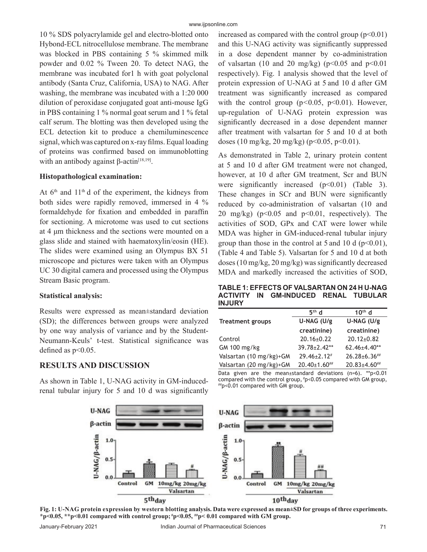10 % SDS polyacrylamide gel and electro-blotted onto Hybond-ECL nitrocellulose membrane. The membrane was blocked in PBS containing 5 % skimmed milk powder and 0.02 % Tween 20. To detect NAG, the membrane was incubated for1 h with goat polyclonal antibody (Santa Cruz, California, USA) to NAG. After washing, the membrane was incubated with a 1:20 000 dilution of peroxidase conjugated goat anti-mouse IgG in PBS containing 1 % normal goat serum and 1 % fetal calf serum. The blotting was then developed using the ECL detection kit to produce a chemiluminescence signal, which was captured on x-ray films. Equal loading of proteins was confirmed based on immunoblotting with an antibody against β-actin<sup>[18,19]</sup>.

#### **Histopathological examination:**

At  $6<sup>th</sup>$  and  $11<sup>th</sup>$  d of the experiment, the kidneys from both sides were rapidly removed, immersed in 4 % formaldehyde for fixation and embedded in paraffin for sectioning. A microtome was used to cut sections at 4 μm thickness and the sections were mounted on a glass slide and stained with haematoxylin/eosin (HE). The slides were examined using an Olympus BX 51 microscope and pictures were taken with an Olympus UC 30 digital camera and processed using the Olympus Stream Basic program.

#### **Statistical analysis:**

Results were expressed as mean±standard deviation (SD); the differences between groups were analyzed by one way analysis of variance and by the Student-Neumann-Keuls' t-test. Statistical significance was defined as  $p<0.05$ .

## **RESULTS AND DISCUSSION**

As shown in Table 1, U-NAG activity in GM-inducedrenal tubular injury for 5 and 10 d was significantly increased as compared with the control group  $(p<0.01)$ and this U-NAG activity was significantly suppressed in a dose dependent manner by co-administration of valsartan (10 and 20 mg/kg) ( $p$ <0.05 and  $p$ <0.01 respectively). Fig. 1 analysis showed that the level of protein expression of U-NAG at 5 and 10 d after GM treatment was significantly increased as compared with the control group (p*<*0.05, p<0.01). However, up-regulation of U-NAG protein expression was significantly decreased in a dose dependent manner after treatment with valsartan for 5 and 10 d at both doses (10 mg/kg, 20 mg/kg) (p<0.05, p<0.01).

As demonstrated in Table 2, urinary protein content at 5 and 10 d after GM treatment were not changed, however, at 10 d after GM treatment, Scr and BUN were significantly increased  $(p<0.01)$  (Table 3). These changes in SCr and BUN were significantly reduced by co-administration of valsartan (10 and 20 mg/kg) ( $p<0.05$  and  $p<0.01$ , respectively). The activities of SOD, GPx and CAT were lower while MDA was higher in GM-induced-renal tubular injury group than those in the control at 5 and 10 d  $(p<0.01)$ , (Table 4 and Table 5). Valsartan for 5 and 10 d at both doses (10 mg/kg, 20 mg/kg) was significantly decreased MDA and markedly increased the activities of SOD,

**TABLE 1: EFFECTS OF VALSARTAN ON 24 H U-NAG ACTIVITY IN GM-INDUCED RENAL TUBULAR INJURY** 

| $5th$ d             | 10 <sup>th</sup> d  |
|---------------------|---------------------|
| U-NAG (U/g          | U-NAG (U/g          |
| creatinine)         | creatinine)         |
| $20.16 \pm 0.22$    | $20.12 \pm 0.82$    |
| $39.78 \pm 2.42**$  | $62.46{\pm}4.40**$  |
| $29.46 \pm 2.12$ #  | $26.28 \pm 6.36$ ## |
| $20.40 \pm 1.60$ ## | $20.83 \pm 4.60$ ## |
|                     |                     |

Data given are the mean±standard deviations (n=6). \*\*p<0.01 compared with the control group,  $np<0.05$  compared with GM group,  $\frac{np}{10}$ <0.01 compared with GM group.



**Fig. 1: U-NAG protein expression by western blotting analysis. Data were expressed as mean±SD for groups of three experiments. \*p<0.05, \*\*p<0.01 compared with control group; #p<0.05, ##p< 0.01 compared with GM group.**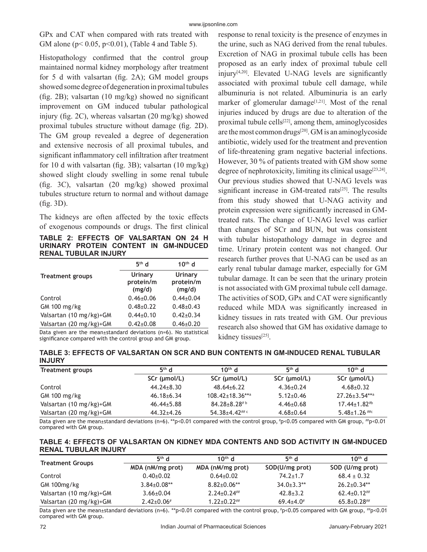GPx and CAT when compared with rats treated with GM alone ( $p < 0.05$ ,  $p < 0.01$ ), (Table 4 and Table 5).

Histopathology confirmed that the control group maintained normal kidney morphology after treatment for 5 d with valsartan (fig.  $2A$ ); GM model groups showed some degree of degeneration in proximal tubules (fig. 2B); valsartan  $(10 \text{ mg/kg})$  showed no significant improvement on GM induced tubular pathological injury (fig. 2C), whereas valsartan  $(20 \text{ mg/kg})$  showed proximal tubules structure without damage (fig. 2D). The GM group revealed a degree of degeneration and extensive necrosis of all proximal tubules, and significant inflammatory cell infiltration after treatment for 10 d with valsartan (fig. 3B); valsartan  $(10 \text{ mg/kg})$ showed slight cloudy swelling in some renal tubule (fig. 3C), valsartan  $(20 \text{ mg/kg})$  showed proximal tubules structure return to normal and without damage  $(fig. 3D)$ .

The kidneys are often affected by the toxic effects of exogenous compounds or drugs. The first clinical

**TABLE 2: EFFECTS OF VALSARTAN ON 24 H URINARY PROTEIN CONTENT IN GM-INDUCED RENAL TUBULAR INJURY** 

|                         | $5th$ d                        | $10th$ d                       |
|-------------------------|--------------------------------|--------------------------------|
| <b>Treatment groups</b> | Urinary<br>protein/m<br>(mg/d) | Urinary<br>protein/m<br>(mg/d) |
| Control                 | $0.46 \pm 0.06$                | $0.44 \pm 0.04$                |
| GM 100 mg/kg            | $0.48 \pm 0.22$                | $0.48{\pm}0.43$                |
| Valsartan (10 mg/kg)+GM | $0.44\pm0.10$                  | $0.42 \pm 0.34$                |
| Valsartan (20 mg/kg)+GM | $0.42 \pm 0.08$                | $0.46 \pm 0.20$                |

Data given are the mean±standard deviations (n=6). No statistical significance compared with the control group and GM group.

response to renal toxicity is the presence of enzymes in the urine, such as NAG derived from the renal tubules. Excretion of NAG in proximal tubule cells has been proposed as an early index of proximal tubule cell injury $[4,20]$ . Elevated U-NAG levels are significantly associated with proximal tubule cell damage, while albuminuria is not related. Albuminuria is an early marker of glomerular damage<sup>[1,21]</sup>. Most of the renal injuries induced by drugs are due to alteration of the proximal tubule cells $[22]$ , among them, aminoglycosides are the most common drugs<sup>[20]</sup>. GM is an aminogly coside antibiotic, widely used for the treatment and prevention of life-threatening gram negative bacterial infections. However, 30 % of patients treated with GM show some degree of nephrotoxicity, limiting its clinical usage<sup>[23,24]</sup>. Our previous studies showed that U-NAG levels was significant increase in GM-treated rats<sup>[25]</sup>. The results from this study showed that U-NAG activity and protein expression were significantly increased in GMtreated rats. The change of U-NAG level was earlier than changes of SCr and BUN, but was consistent with tubular histopathology damage in degree and time. Urinary protein content was not changed. Our research further proves that U-NAG can be used as an early renal tubular damage marker, especially for GM tubular damage. It can be seen that the urinary protein is not associated with GM proximal tubule cell damage. The activities of SOD, GPx and CAT were significantly reduced while MDA was significantly increased in kidney tissues in rats treated with GM. Our previous research also showed that GM has oxidative damage to kidney tissues<sup>[25]</sup>.

**TABLE 3: EFFECTS OF VALSARTAN ON SCR AND BUN CONTENTS IN GM-INDUCED RENAL TUBULAR INJURY**

| Treatment groups        | $5th$ d          | $10^{th}$ d                      | $5th$ d         | 10 <sup>th</sup> d    |
|-------------------------|------------------|----------------------------------|-----------------|-----------------------|
|                         | SCr (µmol/L)     | $SCr$ (µmol/L)                   | SCr (µmol/L)    | $SCr$ ( $µmol/L$ )    |
| Control                 | $44.24 \pm 8.30$ | $48.64 \pm 6.22$                 | $4.36 \pm 0.24$ | $4.68 \pm 0.32$       |
| GM 100 mg/kg            | $46.18 \pm 6.34$ | $108.42 \pm 18.36***$            | $5.12{\pm}0.46$ | $27.26 \pm 3.54$ **a  |
| Valsartan (10 mg/kg)+GM | $46.44 \pm 5.88$ | $84.28 \pm 8.28$ #b              | $4.46 \pm 0.68$ | $17.44 \pm 1.82^{4b}$ |
| Valsartan (20 mg/kg)+GM | $44.32 \pm 4.26$ | 54.38 $\pm$ 4.42 <sup>## c</sup> | $4.68 \pm 0.64$ | $5.48 \pm 1.26$ ##c   |

Data given are the mean±standard deviations (n=6). \*\*p<0.01 compared with the control group,  $\#p<0.05$  compared with GM group,  $\#p<0.01$ compared with GM group.

#### **TABLE 4: EFFECTS OF VALSARTAN ON KIDNEY MDA CONTENTS AND SOD ACTIVITY IN GM-INDUCED RENAL TUBULAR INJURY**

|                         | $5th$ d            | $10^{th}$ d        | $5th$ d                      | $10^{th}$ d        |
|-------------------------|--------------------|--------------------|------------------------------|--------------------|
| <b>Treatment Groups</b> | MDA (nM/mg prot)   | MDA (nM/mg prot)   | SOD(U/mg prot)               | SOD (U/mg prot)    |
| Control                 | $0.40+0.02$        | $0.64 \pm 0.02$    | $74.2 \pm 1.7$               | $68.4 \pm 0.32$    |
| GM 100mg/kg             | $3.84 \pm 0.08$ ** | $8.82 \pm 0.06**$  | $34.0 \pm 3.3$ <sup>**</sup> | $26.2 \pm 0.34**$  |
| Valsartan (10 mg/kg)+GM | $3.66 \pm 0.04$    | $2.24 \pm 0.24$ ## | $42.8 \pm 3.2$               | $62.4 \pm 0.12$ ## |
| Valsartan (20 mg/kg)+GM | $2.42 \pm 0.06$ #  | $1.22 \pm 0.22$ ## | $69.4 \pm 4.0^{\#}$          | $65.8 \pm 0.28$ ## |

Data given are the mean±standard deviations (n=6). \*\*p<0.01 compared with the control group,  $\#p<0.05$  compared with GM group,  $\#p<0.01$ compared with GM group.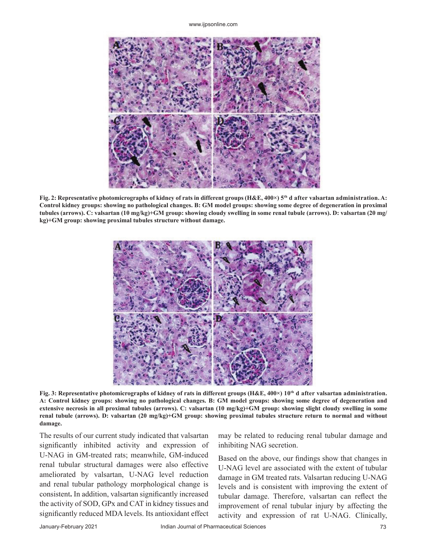www.ijpsonline.com



**Fig. 2: Representative photomicrographs of kidney of rats in different groups (H&E, 400×) 5th d after valsartan administration. A: Control kidney groups: showing no pathological changes. B: GM model groups: showing some degree of degeneration in proximal tubules (arrows). C: valsartan (10 mg/kg)+GM group: showing cloudy swelling in some renal tubule (arrows). D: valsartan (20 mg/ kg)+GM group: showing proximal tubules structure without damage.**



**Fig. 3: Representative photomicrographs of kidney of rats in different groups (H&E, 400×) 10th d after valsartan administration. A: Control kidney groups: showing no pathological changes. B: GM model groups: showing some degree of degeneration and extensive necrosis in all proximal tubules (arrows). C: valsartan (10 mg/kg)+GM group: showing slight cloudy swelling in some renal tubule (arrows). D: valsartan (20 mg/kg)+GM group: showing proximal tubules structure return to normal and without damage.**

The results of our current study indicated that valsartan significantly inhibited activity and expression of U-NAG in GM-treated rats; meanwhile, GM-induced renal tubular structural damages were also effective ameliorated by valsartan, U-NAG level reduction and renal tubular pathology morphological change is consistent. In addition, valsartan significantly increased the activity of SOD, GPx and CAT in kidney tissues and significantly reduced MDA levels. Its antioxidant effect

may be related to reducing renal tubular damage and inhibiting NAG secretion.

Based on the above, our findings show that changes in U-NAG level are associated with the extent of tubular damage in GM treated rats. Valsartan reducing U-NAG levels and is consistent with improving the extent of tubular damage. Therefore, valsartan can reflect the improvement of renal tubular injury by affecting the activity and expression of rat U-NAG. Clinically,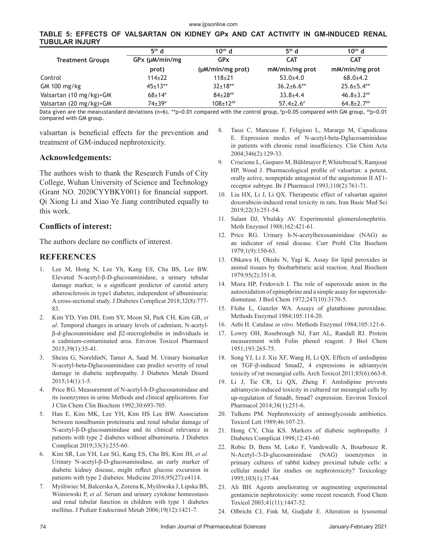|                |  |  |  |  |  | TABLE 5: EFFECTS OF VALSARTAN ON KIDNEY GPx AND CAT ACTIVITY IN GM-INDUCED RENAL |  |
|----------------|--|--|--|--|--|----------------------------------------------------------------------------------|--|
| TUBULAR INJURY |  |  |  |  |  |                                                                                  |  |

|                         | $5th$ d                | $10^{th}$ d           | $5th$ d             | $10th$ d          |
|-------------------------|------------------------|-----------------------|---------------------|-------------------|
| <b>Treatment Groups</b> | $GPx$ ( $\mu$ M/min/mg | GP <sub>x</sub>       | <b>CAT</b>          | <b>CAT</b>        |
|                         | prot)                  | $(\mu M/min/mg$ prot) | mM/min/mg prot      | mM/min/mg prot    |
| Control                 | $114\pm 22$            | $118+21$              | $53.0+4.0$          | $68.0+4.2$        |
| GM 100 mg/kg            | $45+13**$              | $32+18**$             | $36.2{\pm}6.6**$    | $25.6 \pm 5.4$ ** |
| Valsartan (10 mg/kg)+GM | $68+14$                | $84+28$ ##            | $33.8 + 4.4$        | $46.8 \pm 3.2$ ## |
| Valsartan (20 mg/kg)+GM | $74 \pm 39^{\#}$       | $108 \pm 12^{$        | $57.4 \pm 2.6^{\#}$ | $64.8 \pm 2.7$ ## |

Data given are the mean±standard deviations (n=6). \*\*p<0.01 compared with the control group,  $\textit{fp}$ <0.05 compared with GM group,  $\textit{fp}$ <0.01 compared with GM group.

valsartan is beneficial effects for the prevention and treatment of GM-induced nephrotoxicity.

#### **Acknowledgements:**

The authors wish to thank the Research Funds of City College, Wuhan University of Science and Technology (Grant NO. 2020CYYBKY001) for financial support. Qi Xiong Li and Xiao Ye Jiang contributed equally to this work.

#### **Conflicts of interest:**

The authors declare no conflicts of interest.

#### **REFERENCES**

- 1. Lee M, Hong N, Lee Yh, Kang ES, Cha BS, Lee BW. Elevated N-acetyl-β-D-glucosaminidase, a urinary tubular damage marker, is a significant predictor of carotid artery atherosclerosis in type1 diabetes, independent of albuminuria: A cross-sectional study. J Diabetes Complicat 2018;32(8):777- 83.
- 2. Kim YD, Yim DH, Eom SY, Moon SI, Park CH, Kim GB, *et al*. Temporal changes in urinary levels of cadmium, N-acetylβ-d-glucosaminidase and β2-microglobulin in individuals in a cadmium-contaminated area. Environ Toxicol Pharmacol 2015;39(1):35-41.
- 3. Sheira G, NoreldinN, Tamer A, Saad M. Urinary biomarker N-acetyl-beta-Dglucosaminidase can predict severity of renal damage in diabetic nephropathy. J Diabetes Metab Disord 2015;14(1):1-5.
- 4. Price RG. Measurement of N-acetyl-h-D-glucosaminidase and its isoenzymes in urine Methods and clinical applications. Eur J Clin Chem Clin Biochem 1992;30:693-705.
- 5. Han E, Kim MK, Lee YH, Kim HS Lee BW. Association between nonalbumin proteinuria and renal tubular damage of N-acetyl-β-D-glucosaminidase and its clinical relevance in patients with type 2 diabetes without albuminuria. J Diabetes Complicat 2019;33(3):255-60.
- 6. Kim SR, Lee YH, Lee SG, Kang ES, Cha BS, Kim JH, *et al.* Urinary N-acetyl-β-D-glucosaminidase, an early marker of diabetic kidney disease, might reflect glucose excursion in patients with type 2 diabetes. Medicine 2016;95(27):e4114.
- 7. Myśliwiec M, Balcerska A, Zorena K, Myśliwska J, Lipska BS, Wiśniewski P, *et al*. Serum and urinary cytokine homeostasis and renal tubular function in children with type 1 diabetes mellitus. J Pediatr Endocrinol Metab 2006;19(12):1421-7.
- 8. Tassi C, Mancuso F, Feligioni L, Mararge M, Capodicasa E. Expression modes of N-acetyl-beta-Dglucosaminidase in patients with chronic renal insufficiency. Clin Chim Acta 2004;346(2):129-33.
- 9. Criscione L, Gasparo M, Bühlmayer P, Whitebread S, Ramjoué HP, Wood J. Pharmacological profile of valsartan: a potent, orally active, nonpeptide antagonist of the angiotensin II AT1 receptor subtype. Br J Pharmacol 1993;110(2):761-71.
- 10. Liu HX, Li J, Li QX. Therapeutic effect of valsartan against doxorubicin-induced renal toxicity in rats. Iran Basic Med Sci 2019;22(3):251-54.
- 11. Salant DJ, Ybulsky AV. Experimental glomerulonephritis. Meth Enzymol 1988;162:421-61.
- 12. Price RG. Urinary h-N-acetylhexosaminidase (NAG) as an indicator of renal disease. Curr Probl Clin Biochem 1979;1(9):150-63.
- 13. Ohkawa H, Ohishi N, Yagi K. Assay for lipid peroxides in animal tissues by thiobarbituric acid reaction. Anal Biochem 1979;95(2):351-8.
- 14. Misra HP, Fridovich I. The role of superoxide anion in the autooxidation of epinephrine and a simple assay for superoxidedismutase. J Biol Chem 1972;247(10):3170-5.
- 15. Flohe L, Gunzler WA. Assays of glutathione peroxidase. Methods Enzymol 1984;105:114-20.
- 16. Aebi H. Catalase *in vitro*. Methods Enzymol 1984;105:121-6.
- 17. Lowry OH, Rosebrough NJ, Farr AL, Randall RJ. Protein measurement with Folin phenol reagent. J Biol Chem 1951;193:265-75.
- 18. Song YJ, Li J, Xie XF, Wang H, Li QX. Effects of amlodipine on TGF-β-induced Smad2, 4 expressions in adriamycin toxicity of rat mesangial cells. Arch Toxicol 2011;85(6):663-8.
- 19. Li J, Tie CR, Li QX, Zheng F. Amlodipine prevents adriamycin-induced toxicity in cultured rat mesangial cells by up-regulation of Smad6, Smad7 expression. Environ Toxicol Pharmacol 2014;38(1):251-6.
- 20. Tulkens PM. Nephrotoxicity of aminoglycoside antibiotics. Toxicol Lett 1989;46:107-23.
- 21. Hong CY, Chia KS. Markers of diabetic nephropathy. J Diabetes Complicat 1998;12:43-60.
- 22. Robic D, Bens M, Loko F, Vandewalle A, Bourbouze R. N-Acetyl-/3-D-glucosaminidase (NAG) isoenzymes in primary cultures of rabbit kidney proximal tubule cells: a cellular model for studies on nephrotoxicity? Toxicology 1995;103(1):37-44.
- 23. Ali BH. Agents ameliorating or augmenting experimental gentamicin nephrotoxicity: some recent research. Food Chem Toxicol 2003;41(11):1447-52.
- 24. Olbricht CJ, Fink M, Gudjahr E. Alteration in lysosomal